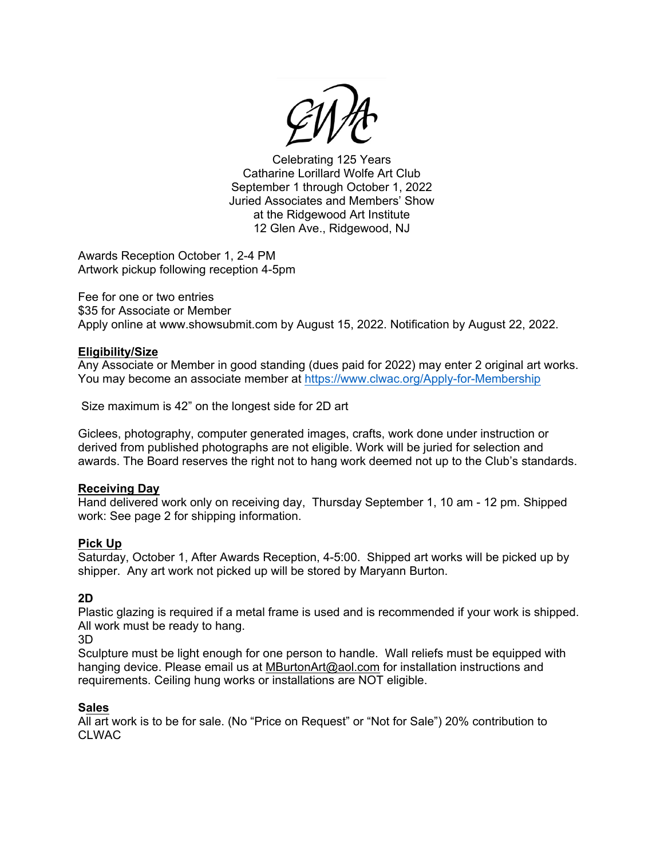Celebrating 125 Years Catharine Lorillard Wolfe Art Club September 1 through October 1, 2022 Juried Associates and Members' Show at the Ridgewood Art Institute 12 Glen Ave., Ridgewood, NJ

Awards Reception October 1, 2-4 PM Artwork pickup following reception 4-5pm

Fee for one or two entries \$35 for Associate or Member Apply online at www.showsubmit.com by August 15, 2022. Notification by August 22, 2022.

# **Eligibility/Size**

Any Associate or Member in good standing (dues paid for 2022) may enter 2 original art works. You may become an associate member at <https://www.clwac.org/Apply-for-Membership>

Size maximum is 42" on the longest side for 2D art

Giclees, photography, computer generated images, crafts, work done under instruction or derived from published photographs are not eligible. Work will be juried for selection and awards. The Board reserves the right not to hang work deemed not up to the Club's standards.

## **Receiving Day**

Hand delivered work only on receiving day, Thursday September 1, 10 am - 12 pm. Shipped work: See page 2 for shipping information.

## **Pick Up**

Saturday, October 1, After Awards Reception, 4-5:00. Shipped art works will be picked up by shipper. Any art work not picked up will be stored by Maryann Burton.

# **2D**

Plastic glazing is required if a metal frame is used and is recommended if your work is shipped. All work must be ready to hang.

3D

Sculpture must be light enough for one person to handle. Wall reliefs must be equipped with hanging device. Please email us at [MBurtonArt@aol.com](mailto:MBurtonArt@aol.com) for installation instructions and requirements. Ceiling hung works or installations are NOT eligible.

## **Sales**

All art work is to be for sale. (No "Price on Request" or "Not for Sale") 20% contribution to CLWAC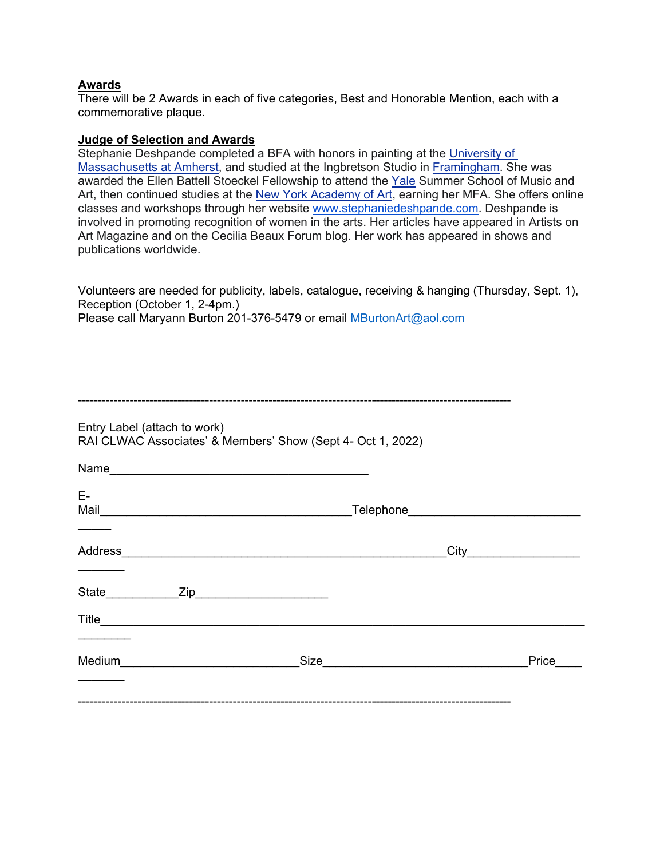# **Awards**

There will be 2 Awards in each of five categories, Best and Honorable Mention, each with a commemorative plaque.

#### **Judge of Selection and Awards**

Stephanie Deshpande completed a BFA with honors in painting at the [University of](https://en.wikipedia.org/wiki/University_of_Massachusetts_at_Amherst)  [Massachusetts at Amherst,](https://en.wikipedia.org/wiki/University_of_Massachusetts_at_Amherst) and studied at the Ingbretson Studio in [Framingham.](https://en.wikipedia.org/wiki/Framingham,_Massachusetts) She was awarded the Ellen Battell Stoeckel Fellowship to attend the [Yale](https://en.wikipedia.org/wiki/Yale_University) Summer School of Music and Art, then continued studies at the [New York Academy of Art,](https://en.wikipedia.org/wiki/New_York_Academy_of_Art) earning her MFA. She offers online classes and workshops through her website [www.stephaniedeshpande.com](http://www.stephaniedeshpande.com/). Deshpande is involved in promoting recognition of women in the arts. Her articles have appeared in Artists on Art Magazine and on the Cecilia Beaux Forum blog. Her work has appeared in shows and publications worldwide.

Volunteers are needed for publicity, labels, catalogue, receiving & hanging (Thursday, Sept. 1), Reception (October 1, 2-4pm.) Please call Maryann Burton 201-376-5479 or email [MBurtonArt@aol.com](mailto:MBurtonArt@aol.com)

| E- |      |           |
|----|------|-----------|
|    |      |           |
|    |      |           |
|    | Size | Price____ |